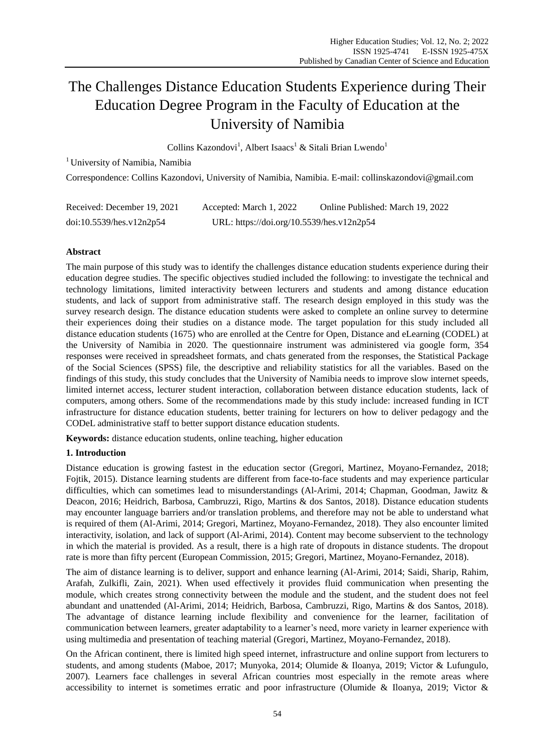# The Challenges Distance Education Students Experience during Their Education Degree Program in the Faculty of Education at the University of Namibia

Collins Kazondovi<sup>1</sup>, Albert Isaacs<sup>1</sup> & Sitali Brian Lwendo<sup>1</sup>

<sup>1</sup> University of Namibia, Namibia

Correspondence: Collins Kazondovi, University of Namibia, Namibia. E-mail: collinskazondovi@gmail.com

| Received: December 19, 2021 | Accepted: March 1, 2022                   | Online Published: March 19, 2022 |
|-----------------------------|-------------------------------------------|----------------------------------|
| doi:10.5539/hes.v12n2p54    | URL: https://doi.org/10.5539/hes.v12n2p54 |                                  |

# **Abstract**

The main purpose of this study was to identify the challenges distance education students experience during their education degree studies. The specific objectives studied included the following: to investigate the technical and technology limitations, limited interactivity between lecturers and students and among distance education students, and lack of support from administrative staff. The research design employed in this study was the survey research design. The distance education students were asked to complete an online survey to determine their experiences doing their studies on a distance mode. The target population for this study included all distance education students (1675) who are enrolled at the Centre for Open, Distance and eLearning (CODEL) at the University of Namibia in 2020. The questionnaire instrument was administered via google form, 354 responses were received in spreadsheet formats, and chats generated from the responses, the Statistical Package of the Social Sciences (SPSS) file, the descriptive and reliability statistics for all the variables. Based on the findings of this study, this study concludes that the University of Namibia needs to improve slow internet speeds, limited internet access, lecturer student interaction, collaboration between distance education students, lack of computers, among others. Some of the recommendations made by this study include: increased funding in ICT infrastructure for distance education students, better training for lecturers on how to deliver pedagogy and the CODeL administrative staff to better support distance education students.

**Keywords:** distance education students, online teaching, higher education

# **1. Introduction**

Distance education is growing fastest in the education sector (Gregori, Martinez, Moyano-Fernandez, 2018; Fojtik, 2015). Distance learning students are different from face-to-face students and may experience particular difficulties, which can sometimes lead to misunderstandings (Al-Arimi, 2014; Chapman, Goodman, Jawitz & Deacon, 2016; Heidrich, Barbosa, Cambruzzi, Rigo, Martins & dos Santos, 2018). Distance education students may encounter language barriers and/or translation problems, and therefore may not be able to understand what is required of them (Al-Arimi, 2014; Gregori, Martinez, Moyano-Fernandez, 2018). They also encounter limited interactivity, isolation, and lack of support (Al-Arimi, 2014). Content may become subservient to the technology in which the material is provided. As a result, there is a high rate of dropouts in distance students. The dropout rate is more than fifty percent (European Commission, 2015; Gregori, Martinez, Moyano-Fernandez, 2018).

The aim of distance learning is to deliver, support and enhance learning (Al-Arimi, 2014; Saidi, Sharip, Rahim, Arafah, Zulkifli, Zain, 2021). When used effectively it provides fluid communication when presenting the module, which creates strong connectivity between the module and the student, and the student does not feel abundant and unattended (Al-Arimi, 2014; Heidrich, Barbosa, Cambruzzi, Rigo, Martins & dos Santos, 2018). The advantage of distance learning include flexibility and convenience for the learner, facilitation of communication between learners, greater adaptability to a learner's need, more variety in learner experience with using multimedia and presentation of teaching material (Gregori, Martinez, Moyano-Fernandez, 2018).

On the African continent, there is limited high speed internet, infrastructure and online support from lecturers to students, and among students (Maboe, 2017; Munyoka, 2014; Olumide & Iloanya, 2019; Victor & Lufungulo, 2007). Learners face challenges in several African countries most especially in the remote areas where accessibility to internet is sometimes erratic and poor infrastructure (Olumide & Iloanya, 2019; Victor &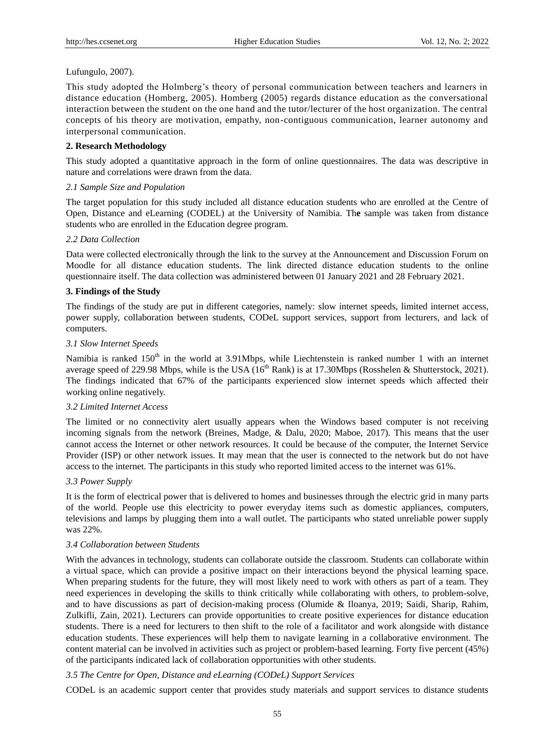## Lufungulo, 2007).

This study adopted the Holmberg's theory of personal communication between teachers and learners in distance education (Homberg, 2005). Homberg (2005) regards distance education as the conversational interaction between the student on the one hand and the tutor/lecturer of the host organization. The central concepts of his theory are motivation, empathy, non-contiguous communication, learner autonomy and interpersonal communication.

## **2. Research Methodology**

This study adopted a quantitative approach in the form of online questionnaires. The data was descriptive in nature and correlations were drawn from the data.

#### *2.1 Sample Size and Population*

The target population for this study included all distance education students who are enrolled at the Centre of Open, Distance and eLearning (CODEL) at the University of Namibia. Th**e** sample was taken from distance students who are enrolled in the Education degree program.

#### *2.2 Data Collection*

Data were collected electronically through the link to the survey at the Announcement and Discussion Forum on Moodle for all distance education students. The link directed distance education students to the online questionnaire itself. The data collection was administered between 01 January 2021 and 28 February 2021.

## **3. Findings of the Study**

The findings of the study are put in different categories, namely: slow internet speeds, limited internet access, power supply, collaboration between students, CODeL support services, support from lecturers, and lack of computers.

## *3.1 Slow Internet Speeds*

Namibia is ranked 150<sup>th</sup> in the world at 3.91Mbps, while Liechtenstein is ranked number 1 with an internet average speed of 229.98 Mbps, while is the USA ( $16<sup>th</sup>$  Rank) is at 17.30Mbps (Rosshelen & Shutterstock, 2021). The findings indicated that 67% of the participants experienced slow internet speeds which affected their working online negatively.

### *3.2 Limited Internet Access*

The limited or no connectivity alert usually appears when the Windows based computer is not receiving incoming signals from the network (Breines, Madge, & Dalu, 2020; Maboe, 2017). This means that the user cannot access the Internet or other network resources. It could be because of the computer, the Internet Service Provider (ISP) or other network issues. It may mean that the user is connected to the network but do not have access to the internet. The participants in this study who reported limited access to the internet was 61%.

## *3.3 Power Supply*

It is the form of electrical power that is delivered to homes and businesses through the electric grid in many parts of the world. People use this electricity to power everyday items such as domestic appliances, computers, televisions and lamps by plugging them into a wall outlet. The participants who stated unreliable power supply was 22%.

#### *3.4 Collaboration between Students*

With the advances in technology, students can collaborate outside the classroom. Students can collaborate within a virtual space, which can provide a positive impact on their interactions beyond the physical learning space. When preparing students for the future, they will most likely need to work with others as part of a team. They need experiences in developing the skills to think critically while collaborating with others, to problem-solve, and to have discussions as part of decision-making process (Olumide & Iloanya, 2019; Saidi, Sharip, Rahim, Zulkifli, Zain, 2021). Lecturers can provide opportunities to create positive experiences for distance education students. There is a need for lecturers to then shift to the role of a facilitator and work alongside with distance education students. These experiences will help them to navigate learning in a collaborative environment. The content material can be involved in activities such as project or problem-based learning. Forty five percent (45%) of the participants indicated lack of collaboration opportunities with other students.

## *3.5 The Centre for Open, Distance and eLearning (CODeL) Support Services*

CODeL is an academic support center that provides study materials and support services to distance students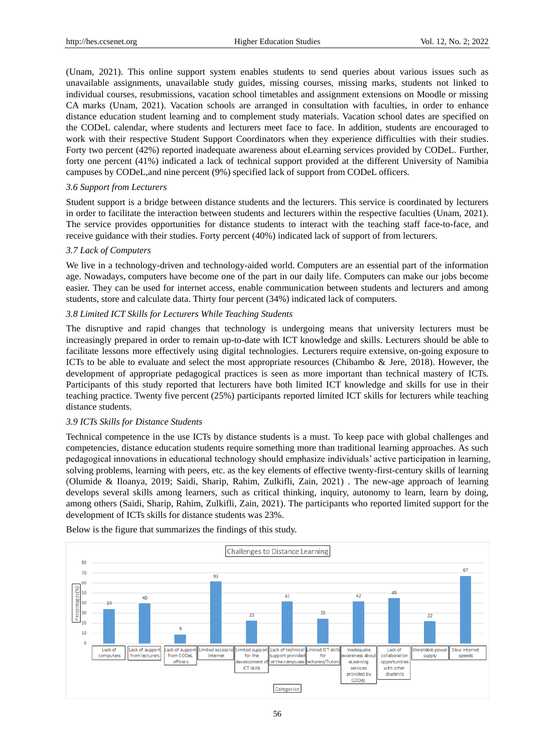(Unam, 2021). This online support system enables students to send queries about various issues such as unavailable assignments, unavailable study guides, missing courses, missing marks, students not linked to individual courses, resubmissions, vacation school timetables and assignment extensions on Moodle or missing CA marks (Unam, 2021). Vacation schools are arranged in consultation with faculties, in order to enhance distance education student learning and to complement study materials. Vacation school dates are specified on the CODeL calendar, where students and lecturers meet face to face. In addition, students are encouraged to work with their respective Student Support Coordinators when they experience difficulties with their studies. Forty two percent (42%) reported inadequate awareness about eLearning services provided by CODeL. Further, forty one percent (41%) indicated a lack of technical support provided at the different University of Namibia campuses by CODeL,and nine percent (9%) specified lack of support from CODeL officers.

## *3.6 Support from Lecturers*

Student support is a bridge between distance students and the lecturers. This service is coordinated by lecturers in order to facilitate the interaction between students and lecturers within the respective faculties (Unam, 2021). The service provides opportunities for distance students to interact with the teaching staff face-to-face, and receive guidance with their studies. Forty percent (40%) indicated lack of support of from lecturers.

## *3.7 Lack of Computers*

We live in a technology-driven and technology-aided world. Computers are an essential part of the information age. Nowadays, computers have become one of the part in our daily life. Computers can make our jobs become easier. They can be used for internet access, enable communication between students and lecturers and among students, store and calculate data. Thirty four percent (34%) indicated lack of computers.

## *3.8 Limited ICT Skills for Lecturers While Teaching Students*

The disruptive and rapid changes that technology is undergoing means that university lecturers must be increasingly prepared in order to remain up-to-date with ICT knowledge and skills. Lecturers should be able to facilitate lessons more effectively using digital technologies. Lecturers require extensive, on-going exposure to ICTs to be able to evaluate and select the most appropriate resources (Chibambo & Jere, 2018). However, the development of appropriate pedagogical practices is seen as more important than technical mastery of ICTs. Participants of this study reported that lecturers have both limited ICT knowledge and skills for use in their teaching practice. Twenty five percent (25%) participants reported limited ICT skills for lecturers while teaching distance students.

## *3.9 ICTs Skills for Distance Students*

Technical competence in the use ICTs by distance students is a must. To keep pace with global challenges and competencies, distance education students require something more than traditional learning approaches. As such pedagogical innovations in educational technology should emphasize individuals' active participation in learning, solving problems, learning with peers, etc. as the key elements of effective twenty-first-century skills of learning (Olumide & Iloanya, 2019; Saidi, Sharip, Rahim, Zulkifli, Zain, 2021) . The new-age approach of learning develops several skills among learners, such as critical thinking, inquiry, autonomy to learn, learn by doing, among others (Saidi, Sharip, Rahim, Zulkifli, Zain, 2021). The participants who reported limited support for the development of ICTs skills for distance students was 23%.



Below is the figure that summarizes the findings of this study.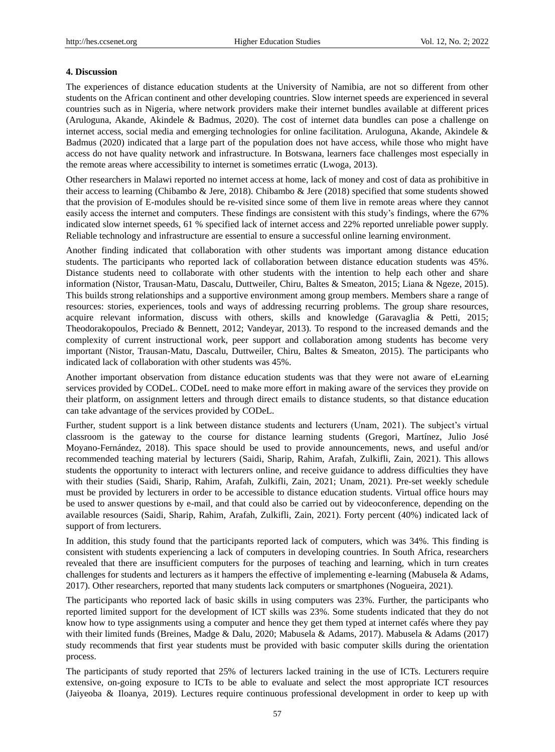## **4. Discussion**

The experiences of distance education students at the University of Namibia, are not so different from other students on the African continent and other developing countries. Slow internet speeds are experienced in several countries such as in Nigeria, where network providers make their internet bundles available at different prices (Aruloguna, Akande, Akindele & Badmus, 2020). The cost of internet data bundles can pose a challenge on internet access, social media and emerging technologies for online facilitation. Aruloguna, Akande, Akindele & Badmus (2020) indicated that a large part of the population does not have access, while those who might have access do not have quality network and infrastructure. In Botswana, learners face challenges most especially in the remote areas where accessibility to internet is sometimes erratic (Lwoga, 2013).

Other researchers in Malawi reported no internet access at home, lack of money and cost of data as prohibitive in their access to learning (Chibambo & Jere, 2018). Chibambo & Jere (2018) specified that some students showed that the provision of E-modules should be re-visited since some of them live in remote areas where they cannot easily access the internet and computers. These findings are consistent with this study's findings, where the 67% indicated slow internet speeds, 61 % specified lack of internet access and 22% reported unreliable power supply. Reliable technology and infrastructure are essential to ensure a successful online learning environment.

Another finding indicated that collaboration with other students was important among distance education students. The participants who reported lack of collaboration between distance education students was 45%. Distance students need to collaborate with other students with the intention to help each other and share information (Nistor, Trausan-Matu, Dascalu, Duttweiler, Chiru, Baltes & Smeaton, 2015; Liana & Ngeze, 2015). This builds strong relationships and a supportive environment among group members. Members share a range of resources: stories, experiences, tools and ways of addressing recurring problems. The group share resources, acquire relevant information, discuss with others, skills and knowledge (Garavaglia & Petti, 2015; Theodorakopoulos, Preciado & Bennett, 2012; Vandeyar, 2013). To respond to the increased demands and the complexity of current instructional work, peer support and collaboration among students has become very important (Nistor, Trausan-Matu, Dascalu, Duttweiler, Chiru, Baltes & Smeaton, 2015). The participants who indicated lack of collaboration with other students was 45%.

Another important observation from distance education students was that they were not aware of eLearning services provided by CODeL. CODeL need to make more effort in making aware of the services they provide on their platform, on assignment letters and through direct emails to distance students, so that distance education can take advantage of the services provided by CODeL.

Further, student support is a link between distance students and lecturers (Unam, 2021). The subject's virtual classroom is the gateway to the course for distance learning students (Gregori, Martínez, Julio José Moyano-Fernández, 2018). This space should be used to provide announcements, news, and useful and/or recommended teaching material by lecturers (Saidi, Sharip, Rahim, Arafah, Zulkifli, Zain, 2021). This allows students the opportunity to interact with lecturers online, and receive guidance to address difficulties they have with their studies (Saidi, Sharip, Rahim, Arafah, Zulkifli, Zain, 2021; Unam, 2021). Pre-set weekly schedule must be provided by lecturers in order to be accessible to distance education students. Virtual office hours may be used to answer questions by e-mail, and that could also be carried out by videoconference, depending on the available resources (Saidi, Sharip, Rahim, Arafah, Zulkifli, Zain, 2021). Forty percent (40%) indicated lack of support of from lecturers.

In addition, this study found that the participants reported lack of computers, which was 34%. This finding is consistent with students experiencing a lack of computers in developing countries. In South Africa, researchers revealed that there are insufficient computers for the purposes of teaching and learning, which in turn creates challenges for students and lecturers as it hampers the effective of implementing e-learning (Mabusela & Adams, 2017). Other researchers, reported that many students lack computers or smartphones (Nogueira, 2021).

The participants who reported lack of basic skills in using computers was 23%. Further, the participants who reported limited support for the development of ICT skills was 23%. Some students indicated that they do not know how to type assignments using a computer and hence they get them typed at internet cafés where they pay with their limited funds (Breines, Madge & Dalu, 2020; Mabusela & Adams, 2017). Mabusela & Adams (2017) study recommends that first year students must be provided with basic computer skills during the orientation process.

The participants of study reported that 25% of lecturers lacked training in the use of ICTs. Lecturers require extensive, on-going exposure to ICTs to be able to evaluate and select the most appropriate ICT resources (Jaiyeoba & Iloanya, 2019). Lectures require continuous professional development in order to keep up with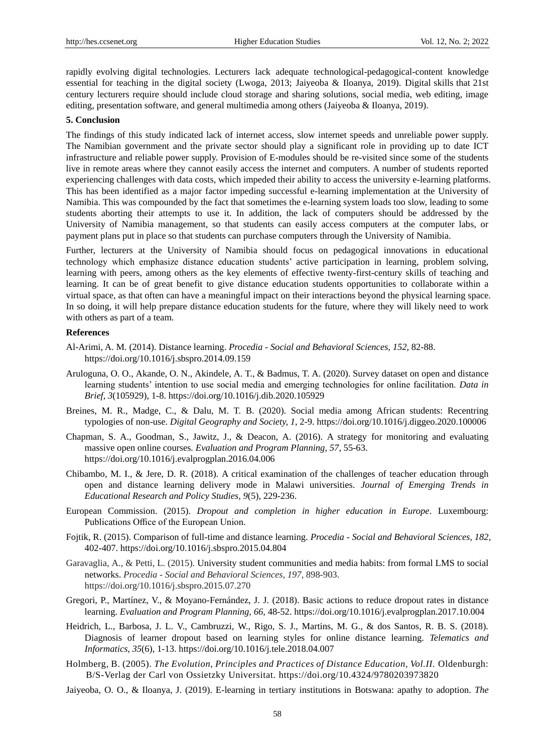rapidly evolving digital technologies. Lecturers lack adequate technological-pedagogical-content knowledge essential for teaching in the digital society (Lwoga, 2013; Jaiyeoba & Iloanya, 2019). Digital skills that 21st century lecturers require should include cloud storage and sharing solutions, social media, web editing, image editing, presentation software, and general multimedia among others (Jaiyeoba & Iloanya, 2019).

#### **5. Conclusion**

The findings of this study indicated lack of internet access, slow internet speeds and unreliable power supply. The Namibian government and the private sector should play a significant role in providing up to date ICT infrastructure and reliable power supply. Provision of E-modules should be re-visited since some of the students live in remote areas where they cannot easily access the internet and computers. A number of students reported experiencing challenges with data costs, which impeded their ability to access the university e-learning platforms. This has been identified as a major factor impeding successful e-learning implementation at the University of Namibia. This was compounded by the fact that sometimes the e-learning system loads too slow, leading to some students aborting their attempts to use it. In addition, the lack of computers should be addressed by the University of Namibia management, so that students can easily access computers at the computer labs, or payment plans put in place so that students can purchase computers through the University of Namibia.

Further, lecturers at the University of Namibia should focus on pedagogical innovations in educational technology which emphasize distance education students' active participation in learning, problem solving, learning with peers, among others as the key elements of effective twenty-first-century skills of teaching and learning. It can be of great benefit to give distance education students opportunities to collaborate within a virtual space, as that often can have a meaningful impact on their interactions beyond the physical learning space. In so doing, it will help prepare distance education students for the future, where they will likely need to work with others as part of a team.

#### **References**

- Al-Arimi, A. M. (2014). Distance learning. *Procedia - Social and Behavioral Sciences, 152*, 82-88. https://doi.org/10.1016/j.sbspro.2014.09.159
- Aruloguna, O. O., Akande, O. N., Akindele, A. T., & Badmus, T. A. (2020). Survey dataset on open and distance learning students' intention to use social media and emerging technologies for online facilitation. *Data in Brief, 3*(105929), 1-8. https://doi.org/10.1016/j.dib.2020.105929
- Breines, M. R., Madge, C., & Dalu, M. T. B. (2020). Social media among African students: Recentring typologies of non-use. *Digital Geography and Society, 1*, 2-9. https://doi.org/10.1016/j.diggeo.2020.100006
- Chapman, S. A., Goodman, S., Jawitz, J., & Deacon, A. (2016). A strategy for monitoring and evaluating massive open online courses*. Evaluation and Program Planning, 57*, 55-63. https://doi.org/10.1016/j.evalprogplan.2016.04.006
- Chibambo, M. I., & Jere, D. R. (2018). A critical examination of the challenges of teacher education through open and distance learning delivery mode in Malawi universities. *Journal of Emerging Trends in Educational Research and Policy Studies, 9*(5), 229-236.
- European Commission. (2015). *Dropout and completion in higher education in Europe*. Luxembourg: Publications Office of the European Union.
- Fojtik, R. (2015). Comparison of full-time and distance learning. *Procedia - Social and Behavioral Sciences, 182*, 402-407. https://doi.org/10.1016/j.sbspro.2015.04.804
- Garavaglia, A., & Petti, L. (2015). University student communities and media habits: from formal LMS to social networks. *Procedia - Social and Behavioral Sciences, 197*, 898-903. https://doi.org/10.1016/j.sbspro.2015.07.270
- Gregori, P., Mart nez, V., & Moyano-Fern andez, J. J. (2018). Basic actions to reduce dropout rates in distance learning. *Evaluation and Program Planning, 66*, 48-52. https://doi.org/10.1016/j.evalprogplan.2017.10.004
- Heidrich, L., Barbosa, J. L. V., Cambruzzi, W., Rigo, S. J., Martins, M. G., & dos Santos, R. B. S. (2018). Diagnosis of learner dropout based on learning styles for online distance learning. *Telematics and Informatics, 35*(6), 1-13. https://doi.org/10.1016/j.tele.2018.04.007
- Holmberg, B. (2005). *The Evolution, Principles and Practices of Distance Education, Vol.II.* Oldenburgh: B/S-Verlag der Carl von Ossietzky Universitat. https://doi.org/10.4324/9780203973820
- Jaiyeoba, O. O., & Iloanya, J. (2019). E-learning in tertiary institutions in Botswana: apathy to adoption. *The*